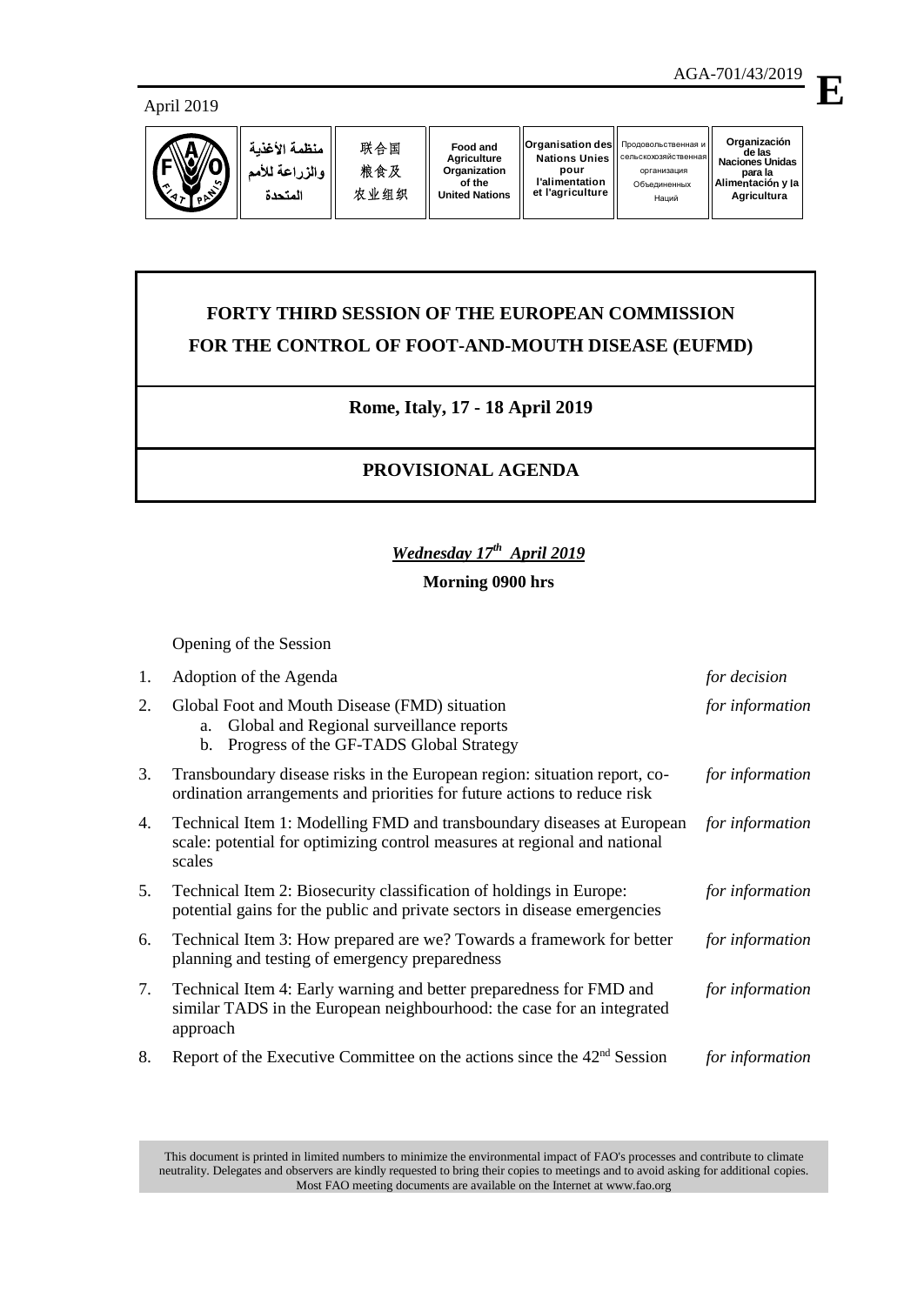#### April 2019



Наций

# **FORTY THIRD SESSION OF THE EUROPEAN COMMISSION FOR THE CONTROL OF FOOT-AND-MOUTH DISEASE (EUFMD)**

### **Rome, Italy, 17 - 18 April 2019**

## **PROVISIONAL AGENDA**

#### *Wednesday 17th April 2019*

#### **Morning 0900 hrs**

Opening of the Session

| 1. | Adoption of the Agenda                                                                                                                                        | for decision    |
|----|---------------------------------------------------------------------------------------------------------------------------------------------------------------|-----------------|
| 2. | Global Foot and Mouth Disease (FMD) situation<br>Global and Regional surveillance reports<br>a.<br>Progress of the GF-TADS Global Strategy<br>$\mathbf{b}$ .  | for information |
| 3. | Transboundary disease risks in the European region: situation report, co-<br>ordination arrangements and priorities for future actions to reduce risk         | for information |
| 4. | Technical Item 1: Modelling FMD and transboundary diseases at European<br>scale: potential for optimizing control measures at regional and national<br>scales | for information |
| 5. | Technical Item 2: Biosecurity classification of holdings in Europe:<br>potential gains for the public and private sectors in disease emergencies              | for information |
| 6. | Technical Item 3: How prepared are we? Towards a framework for better<br>planning and testing of emergency preparedness                                       | for information |
| 7. | Technical Item 4: Early warning and better preparedness for FMD and<br>similar TADS in the European neighbourhood: the case for an integrated<br>approach     | for information |
| 8. | Report of the Executive Committee on the actions since the 42 <sup>nd</sup> Session                                                                           | for information |

This document is printed in limited numbers to minimize the environmental impact of FAO's processes and contribute to climate neutrality. Delegates and observers are kindly requested to bring their copies to meetings and to avoid asking for additional copies. Most FAO meeting documents are available on the Internet at www.fao.org